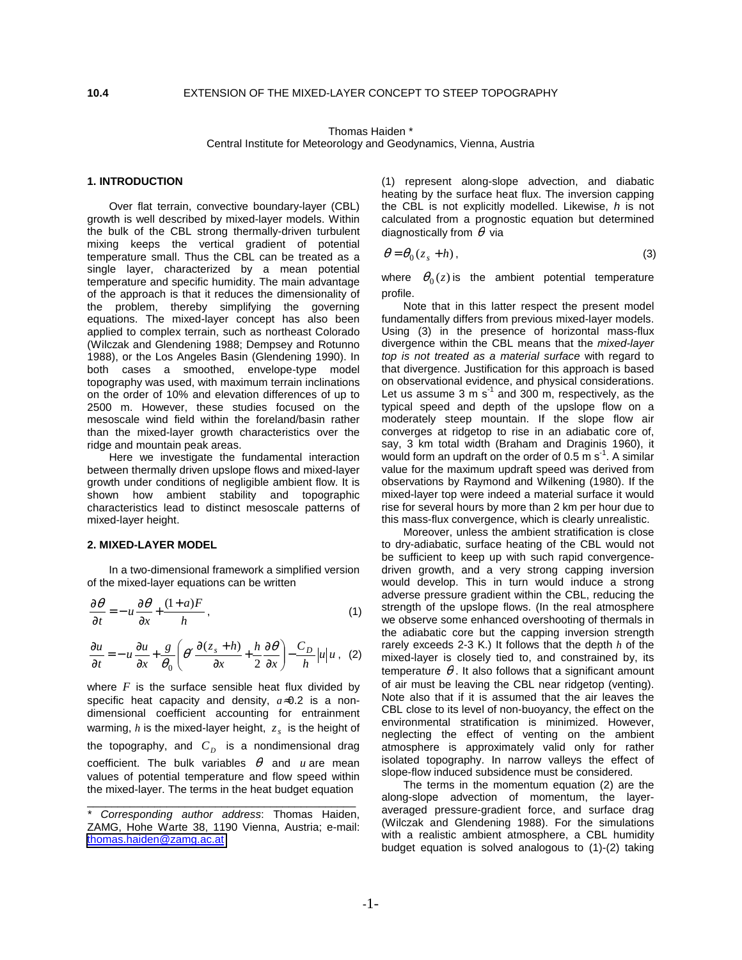Thomas Haiden \* Central Institute for Meteorology and Geodynamics, Vienna, Austria

## **1. INTRODUCTION**

Over flat terrain, convective boundary-layer (CBL) growth is well described by mixed-layer models. Within the bulk of the CBL strong thermally-driven turbulent mixing keeps the vertical gradient of potential temperature small. Thus the CBL can be treated as a single layer, characterized by a mean potential temperature and specific humidity. The main advantage of the approach is that it reduces the dimensionality of the problem, thereby simplifying the governing equations. The mixed-layer concept has also been applied to complex terrain, such as northeast Colorado (Wilczak and Glendening 1988; Dempsey and Rotunno 1988), or the Los Angeles Basin (Glendening 1990). In both cases a smoothed, envelope-type model topography was used, with maximum terrain inclinations on the order of 10% and elevation differences of up to 2500 m. However, these studies focused on the mesoscale wind field within the foreland/basin rather than the mixed-layer growth characteristics over the ridge and mountain peak areas.

Here we investigate the fundamental interaction between thermally driven upslope flows and mixed-layer growth under conditions of negligible ambient flow. It is shown how ambient stability and topographic characteristics lead to distinct mesoscale patterns of mixed-layer height.

### **2. MIXED-LAYER MODEL**

 In a two-dimensional framework a simplified version of the mixed-layer equations can be written

$$
\frac{\partial \theta}{\partial t} = -u \frac{\partial \theta}{\partial x} + \frac{(1+a)F}{h},\tag{1}
$$

$$
\frac{\partial u}{\partial t} = -u \frac{\partial u}{\partial x} + \frac{g}{\theta_0} \left( \theta' \frac{\partial (z_s + h)}{\partial x} + \frac{h}{2} \frac{\partial \theta}{\partial x} \right) - \frac{C_D}{h} |u| u , (2)
$$

where  $F$  is the surface sensible heat flux divided by specific heat capacity and density, *a*≈0.2 is a nondimensional coefficient accounting for entrainment warming, *h* is the mixed-layer height,  $z<sub>s</sub>$  is the height of the topography, and  $C<sub>D</sub>$  is a nondimensional drag coefficient. The bulk variables  $\theta$  and *u* are mean values of potential temperature and flow speed within the mixed-layer. The terms in the heat budget equation

\_\_\_\_\_\_\_\_\_\_\_\_\_\_\_\_\_\_\_\_\_\_\_\_\_\_\_\_\_\_\_\_\_\_\_\_\_\_\_\_\_\_\_\_

(1) represent along-slope advection, and diabatic heating by the surface heat flux. The inversion capping the CBL is not explicitly modelled. Likewise, *h* is not calculated from a prognostic equation but determined diagnostically from  $\theta$  via

$$
\theta = \theta_0 (z_s + h), \tag{3}
$$

where  $\theta_0(z)$  is the ambient potential temperature profile.

Note that in this latter respect the present model fundamentally differs from previous mixed-layer models. Using (3) in the presence of horizontal mass-flux divergence within the CBL means that the *mixed-layer top is not treated as a material surface* with regard to that divergence. Justification for this approach is based on observational evidence, and physical considerations. Let us assume 3 m  $s^{-1}$  and 300 m, respectively, as the typical speed and depth of the upslope flow on a moderately steep mountain. If the slope flow air converges at ridgetop to rise in an adiabatic core of, say, 3 km total width (Braham and Draginis 1960), it would form an updraft on the order of  $0.5 \text{ m s}^{-1}$ . A similar value for the maximum updraft speed was derived from observations by Raymond and Wilkening (1980). If the mixed-layer top were indeed a material surface it would rise for several hours by more than 2 km per hour due to this mass-flux convergence, which is clearly unrealistic.

Moreover, unless the ambient stratification is close to dry-adiabatic, surface heating of the CBL would not be sufficient to keep up with such rapid convergencedriven growth, and a very strong capping inversion would develop. This in turn would induce a strong adverse pressure gradient within the CBL, reducing the strength of the upslope flows. (In the real atmosphere we observe some enhanced overshooting of thermals in the adiabatic core but the capping inversion strength rarely exceeds 2-3 K.) It follows that the depth *h* of the mixed-layer is closely tied to, and constrained by, its temperature  $\theta$ . It also follows that a significant amount of air must be leaving the CBL near ridgetop (venting). Note also that if it is assumed that the air leaves the CBL close to its level of non-buoyancy, the effect on the environmental stratification is minimized. However, neglecting the effect of venting on the ambient atmosphere is approximately valid only for rather isolated topography. In narrow valleys the effect of slope-flow induced subsidence must be considered.

The terms in the momentum equation (2) are the along-slope advection of momentum, the layeraveraged pressure-gradient force, and surface drag (Wilczak and Glendening 1988). For the simulations with a realistic ambient atmosphere, a CBL humidity budget equation is solved analogous to (1)-(2) taking

*<sup>\*</sup> Corresponding author address*: Thomas Haiden, ZAMG, Hohe Warte 38, 1190 Vienna, Austria; e-mail: [thomas.haiden@zamg.ac.at](mailto:thomas.haiden@zamg.ac.at)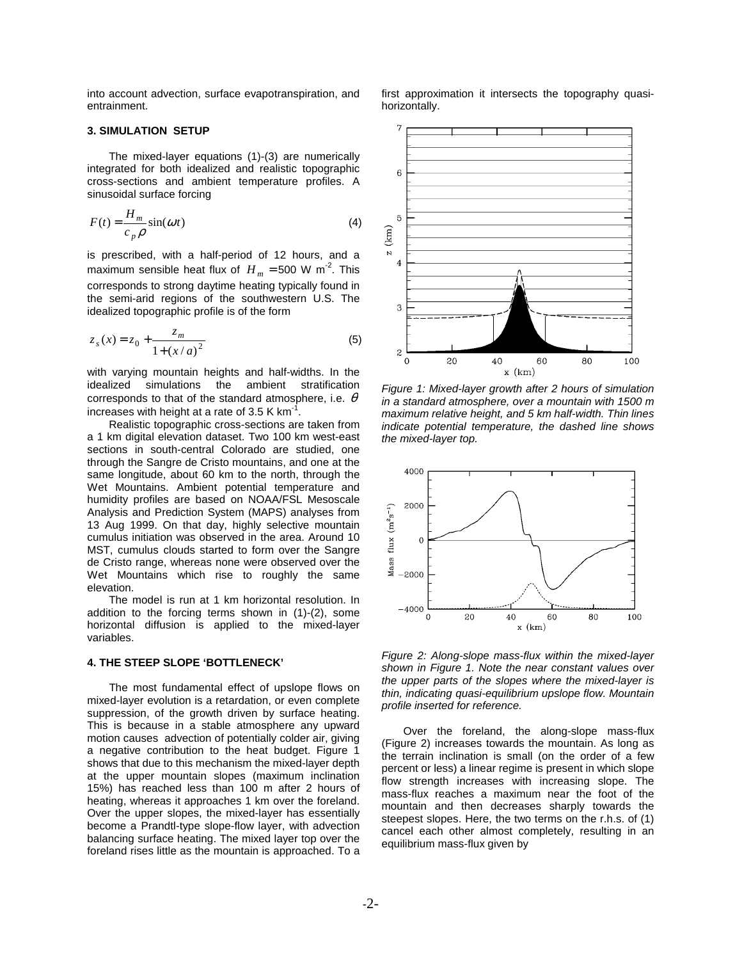into account advection, surface evapotranspiration, and entrainment.

### **3. SIMULATION SETUP**

 The mixed-layer equations (1)-(3) are numerically integrated for both idealized and realistic topographic cross-sections and ambient temperature profiles. A sinusoidal surface forcing

$$
F(t) = \frac{H_m}{c_p \rho} \sin(\omega t)
$$
 (4)

is prescribed, with a half-period of 12 hours, and a maximum sensible heat flux of  $H_m = 500$  W m<sup>-2</sup>. This corresponds to strong daytime heating typically found in the semi-arid regions of the southwestern U.S. The idealized topographic profile is of the form

$$
z_s(x) = z_0 + \frac{z_m}{1 + (x/a)^2}
$$
 (5)

with varying mountain heights and half-widths. In the idealized simulations the ambient stratification corresponds to that of the standard atmosphere, i.e.  $\theta$ increases with height at a rate of 3.5 K  $km^{-1}$ .

 Realistic topographic cross-sections are taken from a 1 km digital elevation dataset. Two 100 km west-east sections in south-central Colorado are studied, one through the Sangre de Cristo mountains, and one at the same longitude, about 60 km to the north, through the Wet Mountains. Ambient potential temperature and humidity profiles are based on NOAA/FSL Mesoscale Analysis and Prediction System (MAPS) analyses from 13 Aug 1999. On that day, highly selective mountain cumulus initiation was observed in the area. Around 10 MST, cumulus clouds started to form over the Sangre de Cristo range, whereas none were observed over the Wet Mountains which rise to roughly the same elevation.

 The model is run at 1 km horizontal resolution. In addition to the forcing terms shown in (1)-(2), some horizontal diffusion is applied to the mixed-layer variables.

## **4. THE STEEP SLOPE 'BOTTLENECK'**

The most fundamental effect of upslope flows on mixed-layer evolution is a retardation, or even complete suppression, of the growth driven by surface heating. This is because in a stable atmosphere any upward motion causes advection of potentially colder air, giving a negative contribution to the heat budget. Figure 1 shows that due to this mechanism the mixed-layer depth at the upper mountain slopes (maximum inclination 15%) has reached less than 100 m after 2 hours of heating, whereas it approaches 1 km over the foreland. Over the upper slopes, the mixed-layer has essentially become a Prandtl-type slope-flow layer, with advection balancing surface heating. The mixed layer top over the foreland rises little as the mountain is approached. To a



first approximation it intersects the topography quasi-

horizontally.

*Figure 1: Mixed-layer growth after 2 hours of simulation in a standard atmosphere, over a mountain with 1500 m maximum relative height, and 5 km half-width. Thin lines indicate potential temperature, the dashed line shows the mixed-layer top.* 



*Figure 2: Along-slope mass-flux within the mixed-layer shown in Figure 1. Note the near constant values over the upper parts of the slopes where the mixed-layer is thin, indicating quasi-equilibrium upslope flow. Mountain profile inserted for reference.* 

Over the foreland, the along-slope mass-flux (Figure 2) increases towards the mountain. As long as the terrain inclination is small (on the order of a few percent or less) a linear regime is present in which slope flow strength increases with increasing slope. The mass-flux reaches a maximum near the foot of the mountain and then decreases sharply towards the steepest slopes. Here, the two terms on the r.h.s. of (1) cancel each other almost completely, resulting in an equilibrium mass-flux given by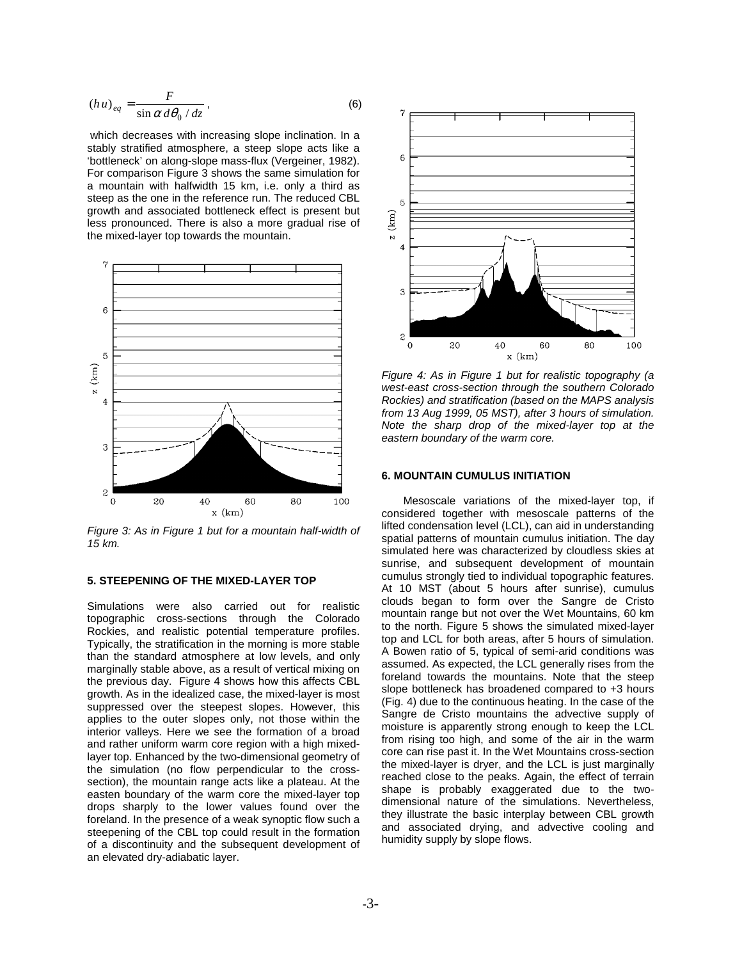$$
(hu)_{eq} = \frac{F}{\sin \alpha \, d\theta_0 / dz},\tag{6}
$$

 which decreases with increasing slope inclination. In a stably stratified atmosphere, a steep slope acts like a 'bottleneck' on along-slope mass-flux (Vergeiner, 1982). For comparison Figure 3 shows the same simulation for a mountain with halfwidth 15 km, i.e. only a third as steep as the one in the reference run. The reduced CBL growth and associated bottleneck effect is present but less pronounced. There is also a more gradual rise of the mixed-layer top towards the mountain.



*Figure 3: As in Figure 1 but for a mountain half-width of 15 km.* 

# **5. STEEPENING OF THE MIXED-LAYER TOP**

Simulations were also carried out for realistic topographic cross-sections through the Colorado Rockies, and realistic potential temperature profiles. Typically, the stratification in the morning is more stable than the standard atmosphere at low levels, and only marginally stable above, as a result of vertical mixing on the previous day. Figure 4 shows how this affects CBL growth. As in the idealized case, the mixed-layer is most suppressed over the steepest slopes. However, this applies to the outer slopes only, not those within the interior valleys. Here we see the formation of a broad and rather uniform warm core region with a high mixedlayer top. Enhanced by the two-dimensional geometry of the simulation (no flow perpendicular to the crosssection), the mountain range acts like a plateau. At the easten boundary of the warm core the mixed-layer top drops sharply to the lower values found over the foreland. In the presence of a weak synoptic flow such a steepening of the CBL top could result in the formation of a discontinuity and the subsequent development of an elevated dry-adiabatic layer.



 *Figure 4: As in Figure 1 but for realistic topography (a west-east cross-section through the southern Colorado Rockies) and stratification (based on the MAPS analysis from 13 Aug 1999, 05 MST), after 3 hours of simulation. Note the sharp drop of the mixed-layer top at the eastern boundary of the warm core.*

## **6. MOUNTAIN CUMULUS INITIATION**

Mesoscale variations of the mixed-layer top, if considered together with mesoscale patterns of the lifted condensation level (LCL), can aid in understanding spatial patterns of mountain cumulus initiation. The day simulated here was characterized by cloudless skies at sunrise, and subsequent development of mountain cumulus strongly tied to individual topographic features. At 10 MST (about 5 hours after sunrise), cumulus clouds began to form over the Sangre de Cristo mountain range but not over the Wet Mountains, 60 km to the north. Figure 5 shows the simulated mixed-layer top and LCL for both areas, after 5 hours of simulation. A Bowen ratio of 5, typical of semi-arid conditions was assumed. As expected, the LCL generally rises from the foreland towards the mountains. Note that the steep slope bottleneck has broadened compared to +3 hours (Fig. 4) due to the continuous heating. In the case of the Sangre de Cristo mountains the advective supply of moisture is apparently strong enough to keep the LCL from rising too high, and some of the air in the warm core can rise past it. In the Wet Mountains cross-section the mixed-layer is dryer, and the LCL is just marginally reached close to the peaks. Again, the effect of terrain shape is probably exaggerated due to the twodimensional nature of the simulations. Nevertheless, they illustrate the basic interplay between CBL growth and associated drying, and advective cooling and humidity supply by slope flows.